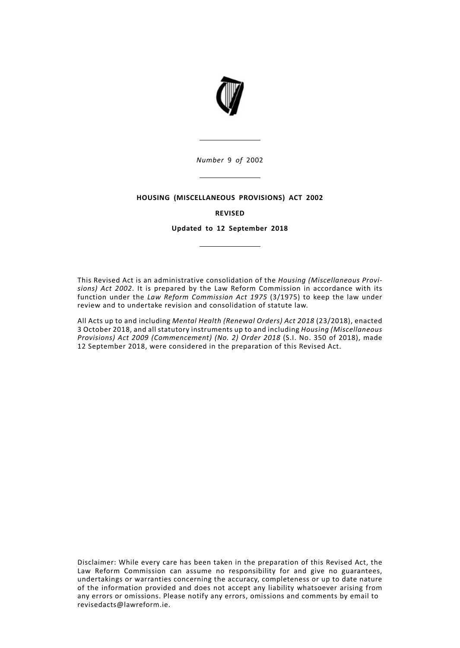

*Number* 9 *of* 2002

## **HOUSING (MISCELLANEOUS PROVISIONS) ACT 2002**

## **REVISED**

**Updated to 12 September 2018**

This Revised Act is an administrative consolidation of the *Housing (Miscellaneous Provisions) Act 2002*. It is prepared by the Law Reform Commission in accordance with its function under the *Law Reform Commission Act 1975* (3/1975) to keep the law under review and to undertake revision and consolidation of statute law.

All Acts up to and including *Mental Health (Renewal Orders) Act 2018* (23/2018), enacted 3 October 2018, and all statutory instruments up to and including *Housing (Miscellaneous Provisions) Act 2009 (Commencement) (No. 2) Order 2018* (S.I. No. 350 of 2018), made 12 September 2018, were considered in the preparation of this Revised Act.

Disclaimer: While every care has been taken in the preparation of this Revised Act, the Law Reform Commission can assume no responsibility for and give no guarantees, undertakings or warranties concerning the accuracy, completeness or up to date nature of the information provided and does not accept any liability whatsoever arising from any errors or omissions. Please notify any errors, omissions and comments by email to revisedacts@lawreform.ie.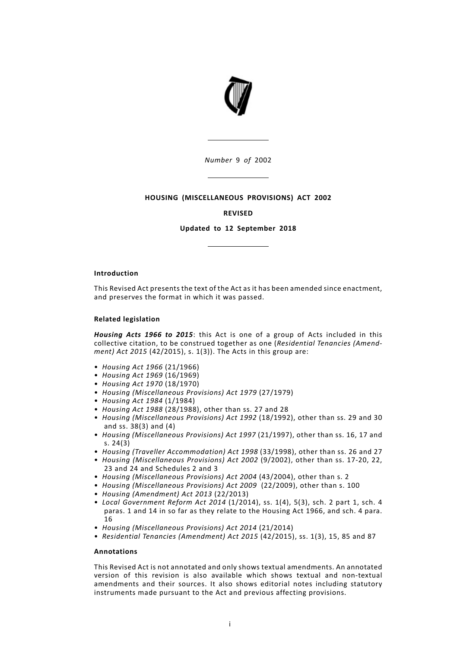

*Number* 9 *of* 2002

## **HOUSING (MISCELLANEOUS PROVISIONS) ACT 2002**

### **REVISED**

**Updated to 12 September 2018**

### **Introduction**

This Revised Act presents the text of the Act as it has been amended since enactment, and preserves the format in which it was passed.

#### **Related legislation**

*Housing Acts 1966 to 2015*: this Act is one of a group of Acts included in this collective citation, to be construed together as one (*Residential Tenancies (Amendment) Act 2015* (42/2015), s. 1(3)). The Acts in this group are:

- *Housing Act 1966* (21/1966)
- *Housing Act 1969* (16/1969)
- *Housing Act 1970* (18/1970)
- *Housing (Miscellaneous Provisions) Act 1979* (27/1979)
- *Housing Act 1984* (1/1984)
- *Housing Act 1988* (28/1988), other than ss. 27 and 28
- *Housing (Miscellaneous Provisions) Act 1992* (18/1992), other than ss. 29 and 30 and ss. 38(3) and (4)
- *Housing (Miscellaneous Provisions) Act 1997* (21/1997), other than ss. 16, 17 and s. 24(3)
- *Housing (Traveller Accommodation) Act 1998* (33/1998), other than ss. 26 and 27
- *Housing (Miscellaneous Provisions) Act 2002* (9/2002), other than ss. 17-20, 22, 23 and 24 and Schedules 2 and 3
- *Housing (Miscellaneous Provisions) Act 2004* (43/2004), other than s. 2
- *Housing (Miscellaneous Provisions) Act 2009* (22/2009), other than s. 100
- *Housing (Amendment) Act 2013* (22/2013)
- *Local Government Reform Act 2014* (1/2014), ss. 1(4), 5(3), sch. 2 part 1, sch. 4 paras. 1 and 14 in so far as they relate to the Housing Act 1966, and sch. 4 para. 16
- *Housing (Miscellaneous Provisions) Act 2014* (21/2014)
- *Residential Tenancies (Amendment) Act 2015* (42/2015), ss. 1(3), 15, 85 and 87

## **Annotations**

This Revised Act is not annotated and only shows textual amendments. An annotated version of this revision is also available which shows textual and non-textual amendments and their sources. It also shows editorial notes including statutory instruments made pursuant to the Act and previous affecting provisions.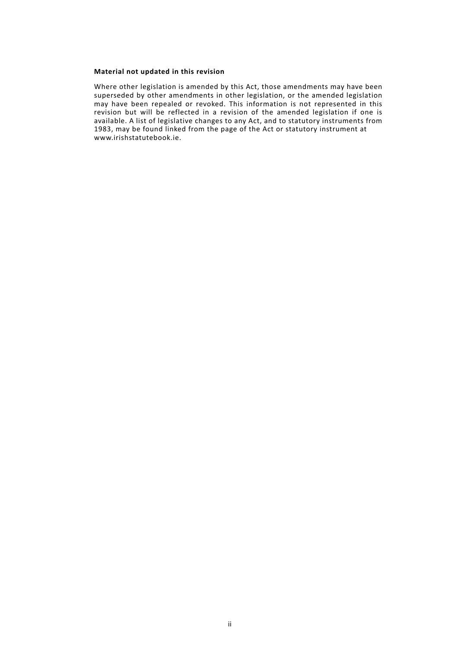## **Material not updated in this revision**

Where other legislation is amended by this Act, those amendments may have been superseded by other amendments in other legislation, or the amended legislation may have been repealed or revoked. This information is not represented in this revision but will be reflected in a revision of the amended legislation if one is available. A list of legislative changes to any Act, and to statutory instruments from 1983, may be found linked from the page of the Act or statutory instrument at www.irishstatutebook.ie.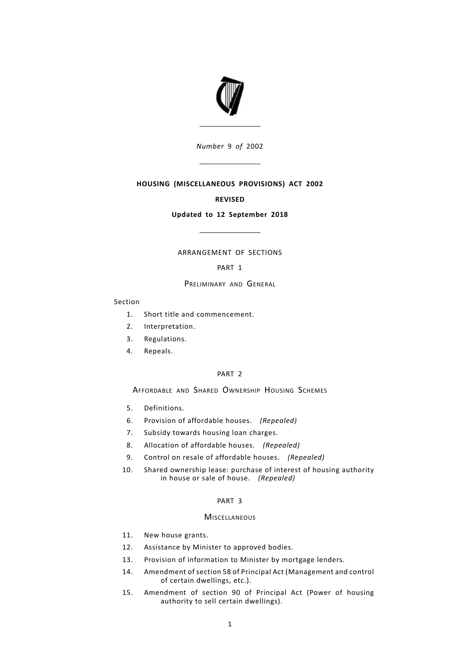

*Number* 9 *of* 2002

# **HOUSING (MISCELLANEOUS PROVISIONS) ACT 2002**

## **REVISED**

## **Updated to 12 September 2018**

### ARRANGEMENT OF SECTIONS

## [PART](#page-7-0) 1

## PRELIMINARY AND GENERAL

### Section

- 1. Short title and [commencement.](#page-7-1)
- 2. [Interpretation.](#page-7-2)
- 3. [Regulations.](#page-8-0)
- 4. [Repeals.](#page-8-1)

### [PART](#page-8-2) 2

# AFFORDABLE AND SHARED OWNERSHIP HOUSING SCHEMES

- 5. [Definitions.](#page-8-3)
- 6. Provision of [affordable](#page-9-0) houses. *(Repealed)*
- 7. Subsidy towards housing loan [charges.](#page-9-1)
- 8. Allocation of [affordable](#page-9-2) houses. *(Repealed)*
- 9. Control on resale of [affordable](#page-9-3) houses. *(Repealed)*
- Shared [ownership](#page-9-4) lease: purchase of interest of housing authority in house or sale of [house.](#page-9-4) *(Repealed)* 10.

## [PART](#page-9-5) 3

## **MISCELLANEOUS**

- 11. New house [grants.](#page-9-6)
- 12. [Assistance](#page-10-0) by Minister to approved bodies.
- 13. Provision of [information](#page-11-0) to Minister by mortgage lenders.
- Amendment of section 58 of Principal Act [\(Management](#page-12-0) and control of certain [dwellings,](#page-12-0) etc.). 14.
- [Amendment](#page-12-1) of section 90 of Principal Act (Power of housing authority to sell certain [dwellings\).](#page-12-1) 15.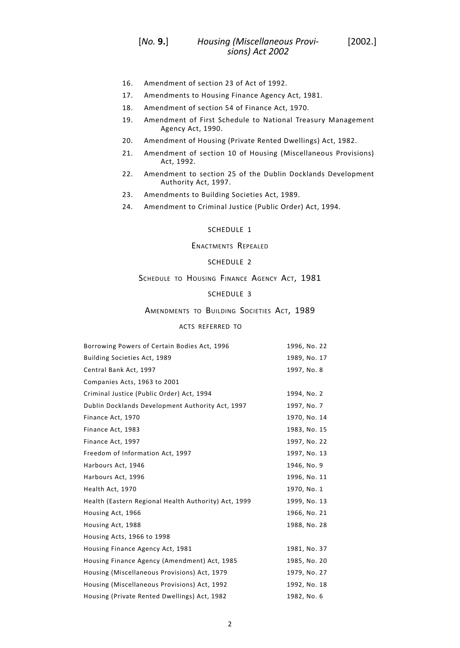- 16. [Amendment](#page-12-2) of section 23 of Act of 1992.
- 17. [Amendments](#page-14-0) to Housing Finance Agency Act, 1981.
- 18. [Amendment](#page-16-0) of section 54 of Finance Act, 1970.
- Amendment of First Schedule to National Treasury [Management](#page-16-1) [Agency](#page-16-1) Act, 1990. 19.
- 20. [Amendment](#page-16-2) of Housing (Private Rented Dwellings) Act, 1982.
- Amendment of section 10 of Housing [\(Miscellaneous](#page-17-0) Provisions) Act, [1992.](#page-17-0) 21.
- Amendment to section 25 of the Dublin Docklands [Development](#page-18-0) [Authority](#page-18-0) Act, 1997. 22.
- 23. [Amendments](#page-19-0) to Building Societies Act, 1989.
- 24. [Amendment](#page-19-1) to Criminal Justice (Public Order) Act, 1994.

## [SCHEDULE](#page-24-0) 1

## ENACTMENTS REPEALED

# [SCHEDULE](#page-24-1) 2

## SCHEDULE TO HOUSING FINANCE AGENCY ACT, 1981

# [SCHEDULE](#page-24-2) 3

## AMENDMENTS TO BUILDING SOCIETIES ACT, 1989

### ACTS REFERRED TO

| Borrowing Powers of Certain Bodies Act, 1996         | 1996, No. 22 |
|------------------------------------------------------|--------------|
| Building Societies Act, 1989                         | 1989, No. 17 |
| Central Bank Act, 1997                               | 1997, No. 8  |
| Companies Acts, 1963 to 2001                         |              |
| Criminal Justice (Public Order) Act, 1994            | 1994, No. 2  |
| Dublin Docklands Development Authority Act, 1997     | 1997, No. 7  |
| Finance Act, 1970                                    | 1970, No. 14 |
| Finance Act, 1983                                    | 1983, No. 15 |
| Finance Act, 1997                                    | 1997, No. 22 |
| Freedom of Information Act, 1997                     | 1997, No. 13 |
| Harbours Act, 1946                                   | 1946, No. 9  |
| Harbours Act, 1996                                   | 1996, No. 11 |
| Health Act, 1970                                     | 1970, No. 1  |
| Health (Eastern Regional Health Authority) Act, 1999 | 1999, No. 13 |
| Housing Act, 1966                                    | 1966, No. 21 |
| Housing Act, 1988                                    | 1988, No. 28 |
| Housing Acts, 1966 to 1998                           |              |
| Housing Finance Agency Act, 1981                     | 1981, No. 37 |
| Housing Finance Agency (Amendment) Act, 1985         | 1985, No. 20 |
| Housing (Miscellaneous Provisions) Act, 1979         | 1979, No. 27 |
| Housing (Miscellaneous Provisions) Act, 1992         | 1992, No. 18 |
| Housing (Private Rented Dwellings) Act, 1982         | 1982, No. 6  |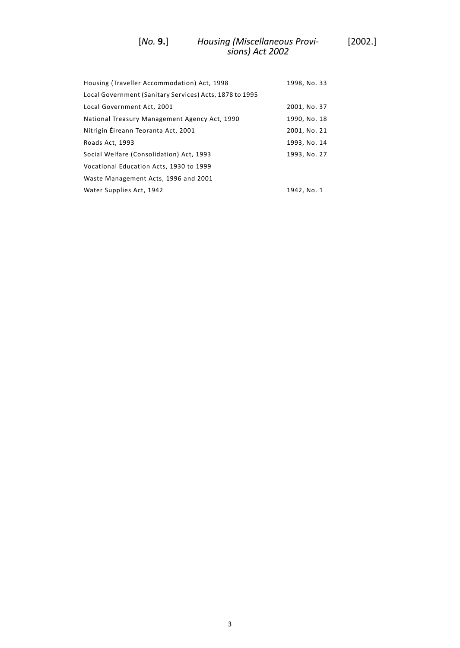### *Housing (Miscellaneous Provi-* [2002.] *sions) Act 2002* [*No.* **9.**]

| Housing (Traveller Accommodation) Act, 1998             | 1998, No. 33 |
|---------------------------------------------------------|--------------|
| Local Government (Sanitary Services) Acts, 1878 to 1995 |              |
| Local Government Act, 2001                              | 2001, No. 37 |
| National Treasury Management Agency Act, 1990           | 1990, No. 18 |
| Nítrigin Éireann Teoranta Act, 2001                     | 2001, No. 21 |
| Roads Act, 1993                                         | 1993, No. 14 |
| Social Welfare (Consolidation) Act, 1993                | 1993, No. 27 |
| Vocational Education Acts, 1930 to 1999                 |              |
| Waste Management Acts, 1996 and 2001                    |              |
| Water Supplies Act, 1942                                | 1942, No. 1  |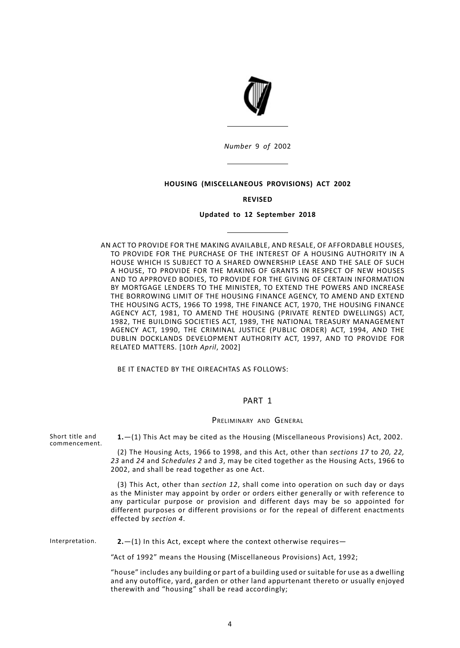

*Number* 9 *of* 2002

## **HOUSING (MISCELLANEOUS PROVISIONS) ACT 2002**

### **REVISED**

### **Updated to 12 September 2018**

AN ACT TO PROVIDE FOR THE MAKING AVAILABLE, AND RESALE, OF AFFORDABLE HOUSES, TO PROVIDE FOR THE PURCHASE OF THE INTEREST OF A HOUSING AUTHORITY IN A HOUSE WHICH IS SUBJECT TO A SHARED OWNERSHIP LEASE AND THE SALE OF SUCH A HOUSE, TO PROVIDE FOR THE MAKING OF GRANTS IN RESPECT OF NEW HOUSES AND TO APPROVED BODIES, TO PROVIDE FOR THE GIVING OF CERTAIN INFORMATION BY MORTGAGE LENDERS TO THE MINISTER, TO EXTEND THE POWERS AND INCREASE THE BORROWING LIMIT OF THE HOUSING FINANCE AGENCY, TO AMEND AND EXTEND THE HOUSING ACTS, 1966 TO 1998, THE FINANCE ACT, 1970, THE HOUSING FINANCE AGENCY ACT, 1981, TO AMEND THE HOUSING (PRIVATE RENTED DWELLINGS) ACT, 1982, THE BUILDING SOCIETIES ACT, 1989, THE NATIONAL TREASURY MANAGEMENT AGENCY ACT, 1990, THE CRIMINAL JUSTICE (PUBLIC ORDER) ACT, 1994, AND THE DUBLIN DOCKLANDS DEVELOPMENT AUTHORITY ACT, 1997, AND TO PROVIDE FOR RELATED MATTERS. [10*th April*, 2002]

<span id="page-7-1"></span><span id="page-7-0"></span>BE IT ENACTED BY THE OIREACHTAS AS FOLLOWS:

## PART 1

#### PRELIMINARY AND GENERAL

Short title and **1.**—(1) This Act may be cited as the Housing (Miscellaneous Provisions) Act, 2002. (2) The Housing Acts, 1966 to 1998, and this Act, other than *sections 17* to *20, 22, 23* and *24* and *Schedules 2* and *3*, may be cited together as the Housing Acts, 1966 to 2002, and shall be read together as one Act. (3) This Act, other than *section 12*, shall come into operation on such day or days as the Minister may appoint by order or orders either generally or with reference to any particular purpose or provision and different days may be so appointed for different purposes or different provisions or for the repeal of different enactments effected by *section 4*. Interpretation. **2.**—(1) In this Act, except where the context otherwise requires—

<span id="page-7-2"></span>"Act of 1992" means the Housing (Miscellaneous Provisions) Act, 1992;

"house" includes any building or part of a building used or suitable for use as a dwelling and any outoffice, yard, garden or other land appurtenant thereto or usually enjoyed therewith and "housing" shall be read accordingly;

commencement.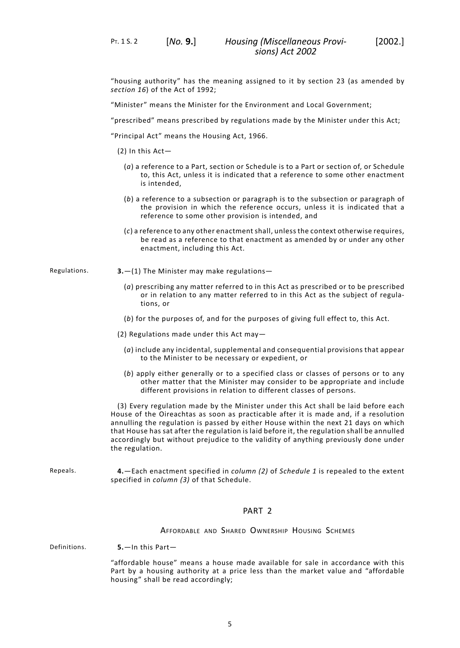PT. 1 S. 2 [*No.* **9.**]

"housing authority" has the meaning assigned to it by section 23 (as amended by *section 16*) of the Act of 1992;

"Minister" means the Minister for the Environment and Local Government;

"prescribed" means prescribed by regulations made by the Minister under this Act;

"Principal Act" means the Housing Act, 1966.

- (2) In this Act—
	- (*a*) a reference to a Part, section or Schedule is to a Part or section of, or Schedule to, this Act, unless it is indicated that a reference to some other enactment is intended,
	- (*b*) a reference to a subsection or paragraph is to the subsection or paragraph of the provision in which the reference occurs, unless it is indicated that a reference to some other provision is intended, and
	- (*c*) a reference to any other enactment shall, unless the context otherwise requires, be read as a reference to that enactment as amended by or under any other enactment, including this Act.

Regulations. **3.**—(1) The Minister may make regulations—

- <span id="page-8-0"></span>(*a*) prescribing any matter referred to in this Act as prescribed or to be prescribed or in relation to any matter referred to in this Act as the subject of regulations, or
- (*b*) for the purposes of, and for the purposes of giving full effect to, this Act.
- (2) Regulations made under this Act may—
	- (*a*) include any incidental, supplemental and consequential provisions that appear to the Minister to be necessary or expedient, or
	- (*b*) apply either generally or to a specified class or classes of persons or to any other matter that the Minister may consider to be appropriate and include different provisions in relation to different classes of persons.

<span id="page-8-1"></span>(3) Every regulation made by the Minister under this Act shall be laid before each House of the Oireachtas as soon as practicable after it is made and, if a resolution annulling the regulation is passed by either House within the next 21 days on which that House has sat after the regulation is laid before it, the regulation shall be annulled accordingly but without prejudice to the validity of anything previously done under the regulation.

<span id="page-8-3"></span><span id="page-8-2"></span>Repeals. **4.**—Each enactment specified in *column (2)* of *Schedule 1* is repealed to the extent specified in *column (3)* of that Schedule.

## PART 2

AFFORDABLE AND SHARED OWNERSHIP HOUSING SCHEMES

Definitions. **5.**—In this Part—

"affordable house" means a house made available for sale in accordance with this Part by a housing authority at a price less than the market value and "affordable housing" shall be read accordingly;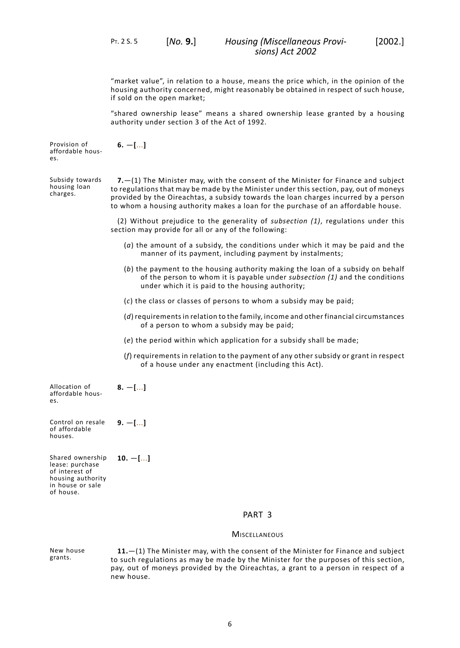**6.** —**[**...**]**

"market value", in relation to a house, means the price which, in the opinion of the housing authority concerned, might reasonably be obtained in respect of such house, if sold on the open market;

<span id="page-9-0"></span>"shared ownership lease" means a shared ownership lease granted by a housing authority under section 3 of the Act of 1992.

Provision of affordable houses.

Subsidy towards housing loan charges.

<span id="page-9-1"></span>**7.**—(1) The Minister may, with the consent of the Minister for Finance and subject to regulations that may be made by the Minister under this section, pay, out of moneys provided by the Oireachtas, a subsidy towards the loan charges incurred by a person to whom a housing authority makes a loan for the purchase of an affordable house.

(2) Without prejudice to the generality of *subsection (1)*, regulations under this section may provide for all or any of the following:

- (*a*) the amount of a subsidy, the conditions under which it may be paid and the manner of its payment, including payment by instalments;
- (*b*) the payment to the housing authority making the loan of a subsidy on behalf of the person to whom it is payable under *subsection (1)* and the conditions under which it is paid to the housing authority;
- (*c*) the class or classes of persons to whom a subsidy may be paid;
- (*d*) requirementsin relation to the family, income and other financial circumstances of a person to whom a subsidy may be paid;
- (*e*) the period within which application for a subsidy shall be made;
- <span id="page-9-2"></span>(*f*) requirements in relation to the payment of any other subsidy or grant in respect of a house under any enactment (including this Act).

Allocation of affordable houses.

Control on resale of affordable houses. **9.** —**[**...**]**

<span id="page-9-4"></span><span id="page-9-3"></span>**8.** —**[**...**]**

<span id="page-9-6"></span><span id="page-9-5"></span>Shared ownership lease: purchase of interest of housing authority in house or sale of house. **10.** —**[**...**]**

### PART 3

#### **MISCELLANEOUS**

New house grants. **11.**—(1) The Minister may, with the consent of the Minister for Finance and subject to such regulations as may be made by the Minister for the purposes of this section, pay, out of moneys provided by the Oireachtas, a grant to a person in respect of a new house.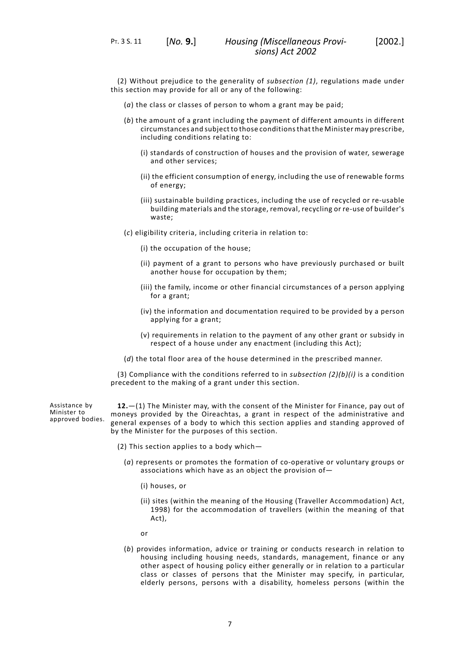PT. 3 S. 11 [*No.* **9.**]

(2) Without prejudice to the generality of *subsection (1)*, regulations made under this section may provide for all or any of the following:

- (*a*) the class or classes of person to whom a grant may be paid;
- (*b*) the amount of a grant including the payment of different amounts in different circumstances and subject to those conditionsthat the Minister may prescribe, including conditions relating to:
	- (i) standards of construction of houses and the provision of water, sewerage and other services;
	- (ii) the efficient consumption of energy, including the use of renewable forms of energy;
	- (iii) sustainable building practices, including the use of recycled or re-usable building materials and the storage, removal, recycling or re-use of builder's waste;
- (*c*) eligibility criteria, including criteria in relation to:
	- (i) the occupation of the house;
	- (ii) payment of a grant to persons who have previously purchased or built another house for occupation by them;
	- (iii) the family, income or other financial circumstances of a person applying for a grant;
	- (iv) the information and documentation required to be provided by a person applying for a grant;
	- (v) requirements in relation to the payment of any other grant or subsidy in respect of a house under any enactment (including this Act);
- (*d*) the total floor area of the house determined in the prescribed manner.

<span id="page-10-0"></span>(3) Compliance with the conditions referred to in *subsection (2)(b)(i)* is a condition precedent to the making of a grant under this section.

Assistance by Minister to approved bodies.

**12.**—(1) The Minister may, with the consent of the Minister for Finance, pay out of moneys provided by the Oireachtas, a grant in respect of the administrative and general expenses of a body to which this section applies and standing approved of by the Minister for the purposes of this section.

- (2) This section applies to a body which—
	- (*a*) represents or promotes the formation of co-operative or voluntary groups or associations which have as an object the provision of—
		- (i) houses, or
		- (ii) sites (within the meaning of the Housing (Traveller Accommodation) Act, 1998) for the accommodation of travellers (within the meaning of that Act),
		- or
	- (*b*) provides information, advice or training or conducts research in relation to housing including housing needs, standards, management, finance or any other aspect of housing policy either generally or in relation to a particular class or classes of persons that the Minister may specify, in particular, elderly persons, persons with a disability, homeless persons (within the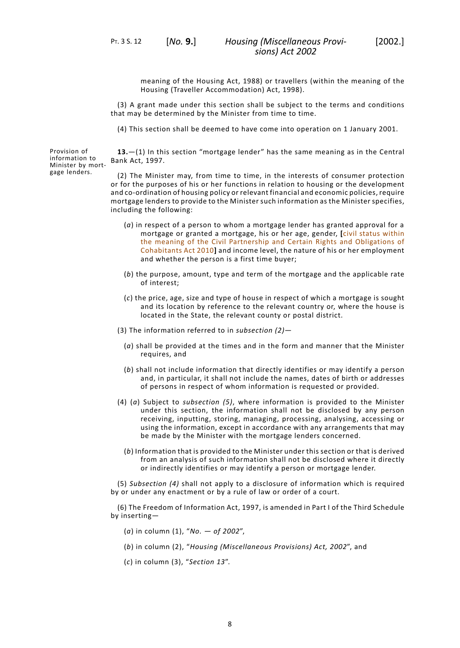PT. 3 S. 12 [*No.* **9.**]

meaning of the Housing Act, 1988) or travellers (within the meaning of the Housing (Traveller Accommodation) Act, 1998).

(3) A grant made under this section shall be subject to the terms and conditions that may be determined by the Minister from time to time.

<span id="page-11-0"></span>(4) This section shall be deemed to have come into operation on 1 January 2001.

Provision of **13.**—(1) In this section "mortgage lender" has the same meaning as in the Central Bank Act, 1997.

> (2) The Minister may, from time to time, in the interests of consumer protection or for the purposes of his or her functions in relation to housing or the development and co-ordination of housing policy or relevant financial and economic policies, require mortgage lenders to provide to the Minister such information as the Minister specifies, including the following:

- (*a*) in respect of a person to whom a mortgage lender has granted approval for a mortgage or granted a mortgage, his or her age, gender, **[**civil status within the meaning of the Civil Partnership and Certain Rights and Obligations of Cohabitants Act 2010**]** and income level, the nature of his or her employment and whether the person is a first time buyer;
- (*b*) the purpose, amount, type and term of the mortgage and the applicable rate of interest;
- (*c*) the price, age, size and type of house in respect of which a mortgage is sought and its location by reference to the relevant country or, where the house is located in the State, the relevant county or postal district.
- (3) The information referred to in *subsection (2)*
	- (*a*) shall be provided at the times and in the form and manner that the Minister requires, and
	- (*b*) shall not include information that directly identifies or may identify a person and, in particular, it shall not include the names, dates of birth or addresses of persons in respect of whom information is requested or provided.
- (4) (*a*) Subject to *subsection (5)*, where information is provided to the Minister under this section, the information shall not be disclosed by any person receiving, inputting, storing, managing, processing, analysing, accessing or using the information, except in accordance with any arrangements that may be made by the Minister with the mortgage lenders concerned.
	- (*b*) Information that is provided to the Minister under this section or that is derived from an analysis of such information shall not be disclosed where it directly or indirectly identifies or may identify a person or mortgage lender.

(5) *Subsection (4)* shall not apply to a disclosure of information which is required by or under any enactment or by a rule of law or order of a court.

(6) The Freedom of Information Act, 1997, is amended in Part I of the Third Schedule by inserting—

- (*a*) in column (1), "*No. — of 2002*",
- (*b*) in column (2), "*Housing (Miscellaneous Provisions) Act, 2002*", and
- (*c*) in column (3), "*Section 13*".

information to Minister by mortgage lenders.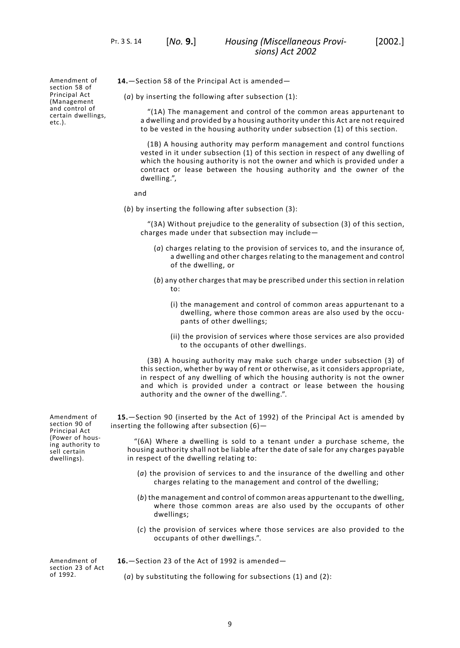PT. 3 S. 14 [*No.* **9.**]

Amendment of section 58 of Principal Act (Management and control of certain dwellings, etc.).

<span id="page-12-0"></span>**14.**—Section 58 of the Principal Act is amended—

(*a*) by inserting the following after subsection (1):

"(1A) The management and control of the common areas appurtenant to a dwelling and provided by a housing authority under this Act are not required to be vested in the housing authority under subsection (1) of this section.

(1B) A housing authority may perform management and control functions vested in it under subsection (1) of this section in respect of any dwelling of which the housing authority is not the owner and which is provided under a contract or lease between the housing authority and the owner of the dwelling.",

#### and

(*b*) by inserting the following after subsection (3):

"(3A) Without prejudice to the generality of subsection (3) of this section, charges made under that subsection may include—

- (*a*) charges relating to the provision of services to, and the insurance of, a dwelling and other charges relating to the management and control of the dwelling, or
- (*b*) any other charges that may be prescribed under this section in relation to:
	- (i) the management and control of common areas appurtenant to a dwelling, where those common areas are also used by the occupants of other dwellings;
	- (ii) the provision of services where those services are also provided to the occupants of other dwellings.

<span id="page-12-1"></span>(3B) A housing authority may make such charge under subsection (3) of this section, whether by way of rent or otherwise, as it considers appropriate, in respect of any dwelling of which the housing authority is not the owner and which is provided under a contract or lease between the housing authority and the owner of the dwelling.".

**15.**—Section 90 (inserted by the Act of 1992) of the Principal Act is amended by inserting the following after subsection (6)—

"(6A) Where a dwelling is sold to a tenant under a purchase scheme, the housing authority shall not be liable after the date of sale for any charges payable in respect of the dwelling relating to:

- (*a*) the provision of services to and the insurance of the dwelling and other charges relating to the management and control of the dwelling;
- <span id="page-12-2"></span>(*b*) the management and control of common areas appurtenant to the dwelling, where those common areas are also used by the occupants of other dwellings;
- (*c*) the provision of services where those services are also provided to the occupants of other dwellings.".

Amendment of section 23 of Act of 1992.

**16.**—Section 23 of the Act of 1992 is amended—

(*a*) by substituting the following for subsections (1) and (2):

section 90 of Principal Act (Power of housing authority to sell certain dwellings).

Amendment of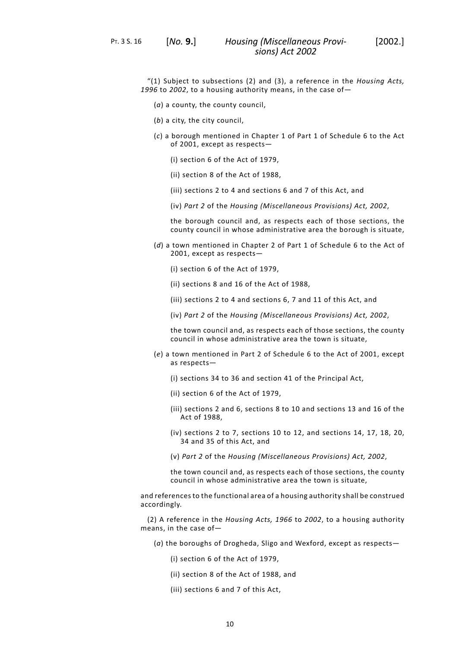PT. 3 S. 16 [*No.* **9.**]

"(1) Subject to subsections (2) and (3), a reference in the *Housing Acts, 1996* to *2002*, to a housing authority means, in the case of—

- (*a*) a county, the county council,
- (*b*) a city, the city council,
- (*c*) a borough mentioned in Chapter 1 of Part 1 of Schedule 6 to the Act of 2001, except as respects—
	- (i) section 6 of the Act of 1979,
	- (ii) section 8 of the Act of 1988,
	- (iii) sections 2 to 4 and sections 6 and 7 of this Act, and
	- (iv) *Part 2* of the *Housing (Miscellaneous Provisions) Act, 2002*,

the borough council and, as respects each of those sections, the county council in whose administrative area the borough is situate,

- (*d*) a town mentioned in Chapter 2 of Part 1 of Schedule 6 to the Act of 2001, except as respects—
	- (i) section 6 of the Act of 1979,
	- (ii) sections 8 and 16 of the Act of 1988,
	- (iii) sections 2 to 4 and sections 6, 7 and 11 of this Act, and
	- (iv) *Part 2* of the *Housing (Miscellaneous Provisions) Act, 2002*,

the town council and, as respects each of those sections, the county council in whose administrative area the town is situate,

- (*e*) a town mentioned in Part 2 of Schedule 6 to the Act of 2001, except as respects—
	- (i) sections 34 to 36 and section 41 of the Principal Act,
	- (ii) section 6 of the Act of 1979,
	- (iii) sections 2 and 6, sections 8 to 10 and sections 13 and 16 of the Act of 1988,
	- (iv) sections 2 to 7, sections 10 to 12, and sections 14, 17, 18, 20, 34 and 35 of this Act, and
	- (v) *Part 2* of the *Housing (Miscellaneous Provisions) Act, 2002*,

the town council and, as respects each of those sections, the county council in whose administrative area the town is situate,

and references to the functional area of a housing authority shall be construed accordingly.

(2) A reference in the *Housing Acts, 1966* to *2002*, to a housing authority means, in the case of—

- (*a*) the boroughs of Drogheda, Sligo and Wexford, except as respects—
	- (i) section 6 of the Act of 1979,
	- (ii) section 8 of the Act of 1988, and
	- (iii) sections 6 and 7 of this Act,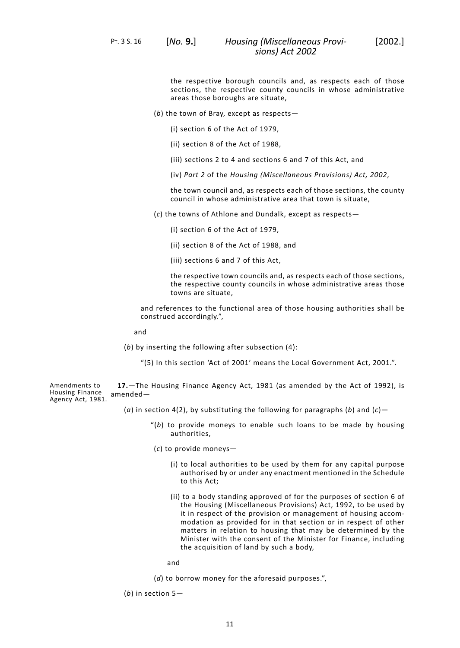PT. 3 S. 16 [*No.* **9.**]

the respective borough councils and, as respects each of those sections, the respective county councils in whose administrative areas those boroughs are situate,

(*b*) the town of Bray, except as respects—

(i) section 6 of the Act of 1979,

(ii) section 8 of the Act of 1988,

(iii) sections 2 to 4 and sections 6 and 7 of this Act, and

(iv) *Part 2* of the *Housing (Miscellaneous Provisions) Act, 2002*,

the town council and, as respects each of those sections, the county council in whose administrative area that town is situate,

(*c*) the towns of Athlone and Dundalk, except as respects—

(i) section 6 of the Act of 1979,

(ii) section 8 of the Act of 1988, and

(iii) sections 6 and 7 of this Act,

the respective town councils and, as respects each of those sections, the respective county councils in whose administrative areas those towns are situate,

and references to the functional area of those housing authorities shall be construed accordingly.",

and

<span id="page-14-0"></span>(*b*) by inserting the following after subsection (4):

"(5) In this section 'Act of 2001' means the Local Government Act, 2001.".

Amendments to Housing Finance Housing Finance amended—<br>Agency Act, 1981. **17.**—The Housing Finance Agency Act, 1981 (as amended by the Act of 1992), is

- (*a*) in section 4(2), by substituting the following for paragraphs (*b*) and (*c*)—
	- "(*b*) to provide moneys to enable such loans to be made by housing authorities,
	- (*c*) to provide moneys—
		- (i) to local authorities to be used by them for any capital purpose authorised by or under any enactment mentioned in the Schedule to this Act;
		- (ii) to a body standing approved of for the purposes of section 6 of the Housing (Miscellaneous Provisions) Act, 1992, to be used by it in respect of the provision or management of housing accommodation as provided for in that section or in respect of other matters in relation to housing that may be determined by the Minister with the consent of the Minister for Finance, including the acquisition of land by such a body,

and

(*d*) to borrow money for the aforesaid purposes.",

(*b*) in section 5—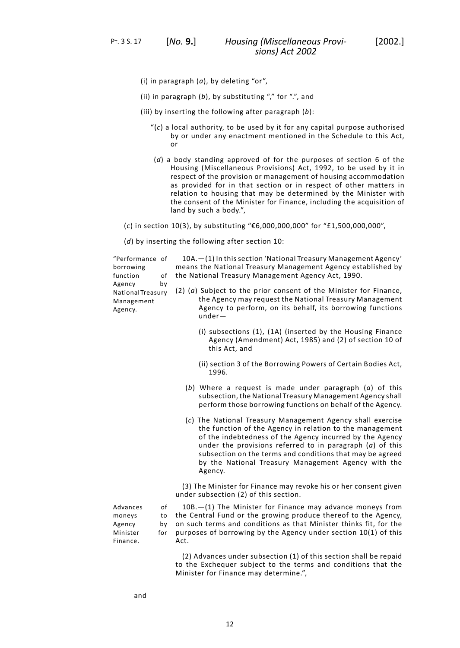- (i) in paragraph (*a*), by deleting "or",
- (ii) in paragraph (*b*), by substituting "," for ".", and
- (iii) by inserting the following after paragraph (*b*):
	- "(*c*) a local authority, to be used by it for any capital purpose authorised by or under any enactment mentioned in the Schedule to this Act, or
	- (*d*) a body standing approved of for the purposes of section 6 of the Housing (Miscellaneous Provisions) Act, 1992, to be used by it in respect of the provision or management of housing accommodation as provided for in that section or in respect of other matters in relation to housing that may be determined by the Minister with the consent of the Minister for Finance, including the acquisition of land by such a body.",
- (*c*) in section 10(3), by substituting "€6,000,000,000" for "£1,500,000,000",

(*d*) by inserting the following after section 10:

| "Performance of<br>borrowing<br>function<br>of                                | 10A. - (1) In this section 'National Treasury Management Agency'<br>means the National Treasury Management Agency established by<br>the National Treasury Management Agency Act, 1990.                                                                                                                                                                                           |
|-------------------------------------------------------------------------------|----------------------------------------------------------------------------------------------------------------------------------------------------------------------------------------------------------------------------------------------------------------------------------------------------------------------------------------------------------------------------------|
| Agency<br>by<br>National Treasury<br>Management<br>Agency.                    | $(2)$ $(a)$ Subject to the prior consent of the Minister for Finance,<br>the Agency may request the National Treasury Management<br>Agency to perform, on its behalf, its borrowing functions<br>$under-$                                                                                                                                                                        |
|                                                                               | (i) subsections (1), (1A) (inserted by the Housing Finance<br>Agency (Amendment) Act, 1985) and (2) of section 10 of<br>this Act, and                                                                                                                                                                                                                                            |
|                                                                               | (ii) section 3 of the Borrowing Powers of Certain Bodies Act,<br>1996.                                                                                                                                                                                                                                                                                                           |
|                                                                               | (b) Where a request is made under paragraph $(a)$ of this<br>subsection, the National Treasury Management Agency shall<br>perform those borrowing functions on behalf of the Agency.                                                                                                                                                                                             |
|                                                                               | (c) The National Treasury Management Agency shall exercise<br>the function of the Agency in relation to the management<br>of the indebtedness of the Agency incurred by the Agency<br>under the provisions referred to in paragraph $(a)$ of this<br>subsection on the terms and conditions that may be agreed<br>by the National Treasury Management Agency with the<br>Agency. |
|                                                                               | (3) The Minister for Finance may revoke his or her consent given<br>under subsection (2) of this section.                                                                                                                                                                                                                                                                        |
| Advances<br>of<br>moneys<br>to<br>Agency<br>by<br>Minister<br>for<br>Finance. | 10B. - (1) The Minister for Finance may advance moneys from<br>the Central Fund or the growing produce thereof to the Agency,<br>on such terms and conditions as that Minister thinks fit, for the<br>purposes of borrowing by the Agency under section 10(1) of this<br>Act.                                                                                                    |
|                                                                               | (2) Advances under subsection (1) of this section shall be repaid<br>to the Exchequer subject to the terms and conditions that the<br>Minister for Finance may determine.",                                                                                                                                                                                                      |

and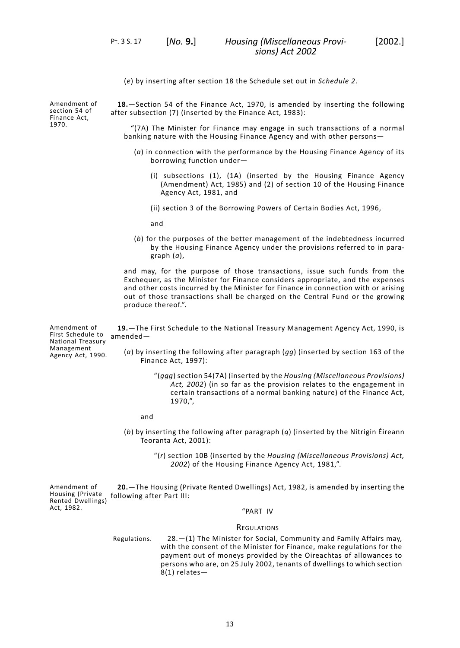(*e*) by inserting after section 18 the Schedule set out in *Schedule 2*.

Amendment of section 54 of Finance Act, 1970.

<span id="page-16-0"></span>**18.**—Section 54 of the Finance Act, 1970, is amended by inserting the following after subsection (7) (inserted by the Finance Act, 1983):

"(7A) The Minister for Finance may engage in such transactions of a normal banking nature with the Housing Finance Agency and with other persons—

- (*a*) in connection with the performance by the Housing Finance Agency of its borrowing function under—
	- (i) subsections (1), (1A) (inserted by the Housing Finance Agency (Amendment) Act, 1985) and (2) of section 10 of the Housing Finance Agency Act, 1981, and
	- (ii) section 3 of the Borrowing Powers of Certain Bodies Act, 1996,

and

(*b*) for the purposes of the better management of the indebtedness incurred by the Housing Finance Agency under the provisions referred to in paragraph (*a*),

<span id="page-16-1"></span>and may, for the purpose of those transactions, issue such funds from the Exchequer, as the Minister for Finance considers appropriate, and the expenses and other costs incurred by the Minister for Finance in connection with or arising out of those transactions shall be charged on the Central Fund or the growing produce thereof.".

Amendment of First Schedule to National Treasury **19.**—The First Schedule to the National Treasury Management Agency Act, 1990, is amended—

Management Agency Act, 1990.

(*a*) by inserting the following after paragraph (*gg*) (inserted by section 163 of the Finance Act, 1997):

> "(*ggg*) section 54(7A) (inserted by the *Housing (Miscellaneous Provisions) Act, 2002*) (in so far as the provision relates to the engagement in certain transactions of a normal banking nature) of the Finance Act, 1970,",

and

<span id="page-16-2"></span>(*b*) by inserting the following after paragraph (*q*) (inserted by the Nítrigin Éireann Teoranta Act, 2001):

> "(*r*) section 10B (inserted by the *Housing (Miscellaneous Provisions) Act, 2002*) of the Housing Finance Agency Act, 1981,".

Amendment of Housing (Private Rented Dwellings) Act, 1982. **20.**—The Housing (Private Rented Dwellings) Act, 1982, is amended by inserting the following after Part III:

## "PART IV

#### **REGULATIONS**

28.—(1) The Minister for Social, Community and Family Affairs may, with the consent of the Minister for Finance, make regulations for the Regulations. payment out of moneys provided by the Oireachtas of allowances to persons who are, on 25 July 2002, tenants of dwellings to which section 8(1) relates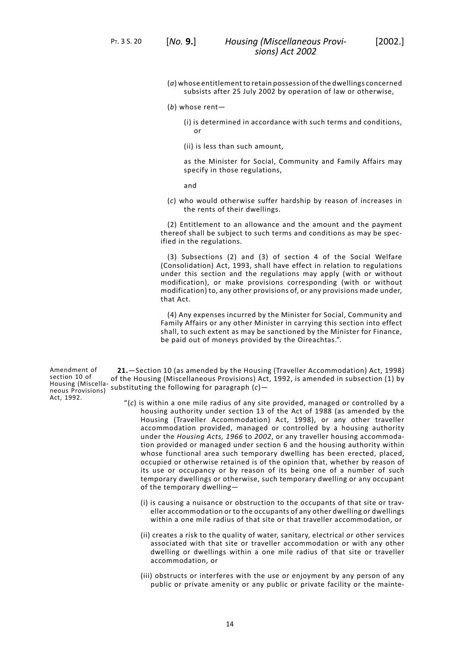PT. 3 S. 20 [*No.* **9.**]

subsists after 25 July 2002 by operation of law or otherwise,

(*b*) whose rent—

(i) is determined in accordance with such terms and conditions, or

(ii) is less than such amount,

as the Minister for Social, Community and Family Affairs may specify in those regulations,

and

(*c*) who would otherwise suffer hardship by reason of increases in the rents of their dwellings.

(2) Entitlement to an allowance and the amount and the payment thereof shall be subject to such terms and conditions as may be specified in the regulations.

(3) Subsections (2) and (3) of section 4 of the Social Welfare (Consolidation) Act, 1993, shall have effect in relation to regulations under this section and the regulations may apply (with or without modification), or make provisions corresponding (with or without modification) to, any other provisions of, or any provisions made under, that Act.

(4) Any expenses incurred by the Minister for Social, Community and Family Affairs or any other Minister in carrying this section into effect shall, to such extent as may be sanctioned by the Minister for Finance, be paid out of moneys provided by the Oireachtas.".

<span id="page-17-0"></span>**21.**—Section 10 (as amended by the Housing (Traveller Accommodation) Act, 1998) of the Housing (Miscellaneous Provisions) Act, 1992, is amended in subsection (1) by substituting the following for paragraph (*c*)—

- "(*c*) is within a one mile radius of any site provided, managed or controlled by a housing authority under section 13 of the Act of 1988 (as amended by the Housing (Traveller Accommodation) Act, 1998), or any other traveller accommodation provided, managed or controlled by a housing authority under the *Housing Acts, 1966* to *2002*, or any traveller housing accommodation provided or managed under section 6 and the housing authority within whose functional area such temporary dwelling has been erected, placed, occupied or otherwise retained is of the opinion that, whether by reason of its use or occupancy or by reason of its being one of a number of such temporary dwellings or otherwise, such temporary dwelling or any occupant of the temporary dwelling—
	- (i) is causing a nuisance or obstruction to the occupants of that site or traveller accommodation or to the occupants of any other dwelling or dwellings within a one mile radius of that site or that traveller accommodation, or
	- (ii) creates a risk to the quality of water, sanitary, electrical or other services associated with that site or traveller accommodation or with any other dwelling or dwellings within a one mile radius of that site or traveller accommodation, or
	- (iii) obstructs or interferes with the use or enjoyment by any person of any public or private amenity or any public or private facility or the mainte-

Amendment of section 10 of Housing (Miscellaneous Provisions) Act, 1992.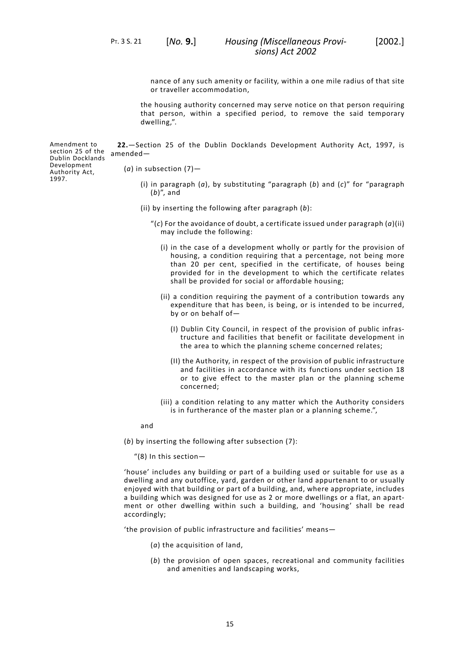PT. 3 S. 21 [*No.* **9.**]

nance of any such amenity or facility, within a one mile radius of that site or traveller accommodation,

the housing authority concerned may serve notice on that person requiring that person, within a specified period, to remove the said temporary dwelling,".

Amendment to **22.**—Section 25 of the Dublin Docklands Development Authority Act, 1997, is amended—

<span id="page-18-0"></span>(*a*) in subsection (7)—

- (i) in paragraph (*a*), by substituting "paragraph (*b*) and (*c*)" for "paragraph (*b*)", and
- (ii) by inserting the following after paragraph (*b*):
	- "(*c*) For the avoidance of doubt, a certificate issued under paragraph (*a*)(ii) may include the following:
		- (i) in the case of a development wholly or partly for the provision of housing, a condition requiring that a percentage, not being more than 20 per cent, specified in the certificate, of houses being provided for in the development to which the certificate relates shall be provided for social or affordable housing;
		- (ii) a condition requiring the payment of a contribution towards any expenditure that has been, is being, or is intended to be incurred, by or on behalf of—
			- (I) Dublin City Council, in respect of the provision of public infrastructure and facilities that benefit or facilitate development in the area to which the planning scheme concerned relates;
			- (II) the Authority, in respect of the provision of public infrastructure and facilities in accordance with its functions under section 18 or to give effect to the master plan or the planning scheme concerned;
		- (iii) a condition relating to any matter which the Authority considers is in furtherance of the master plan or a planning scheme.",

and

(*b*) by inserting the following after subsection (7):

"(8) In this section—

'house' includes any building or part of a building used or suitable for use as a dwelling and any outoffice, yard, garden or other land appurtenant to or usually enjoyed with that building or part of a building, and, where appropriate, includes a building which was designed for use as 2 or more dwellings or a flat, an apartment or other dwelling within such a building, and 'housing' shall be read accordingly;

'the provision of public infrastructure and facilities' means—

- (*a*) the acquisition of land,
- (*b*) the provision of open spaces, recreational and community facilities and amenities and landscaping works,

section 25 of the Dublin Docklands Development Authority Act, 1997.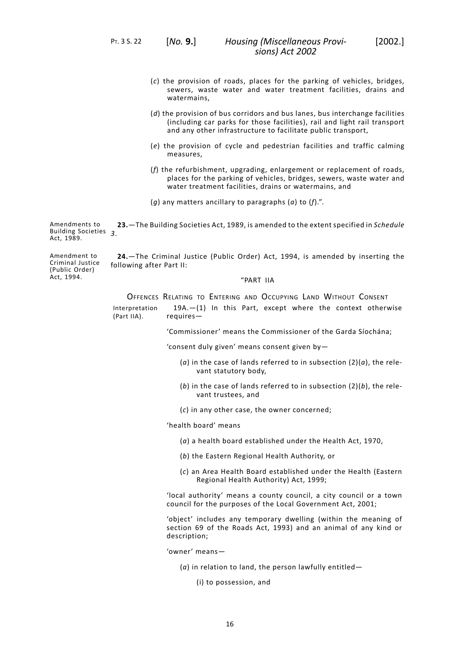PT. 3 S. 22 [*No.* **9.**]

- (*c*) the provision of roads, places for the parking of vehicles, bridges, sewers, waste water and water treatment facilities, drains and watermains,
- (*d*) the provision of bus corridors and bus lanes, bus interchange facilities (including car parks for those facilities), rail and light rail transport and any other infrastructure to facilitate public transport,
- (*e*) the provision of cycle and pedestrian facilities and traffic calming measures,
- (*f*) the refurbishment, upgrading, enlargement or replacement of roads, places for the parking of vehicles, bridges, sewers, waste water and water treatment facilities, drains or watermains, and
- <span id="page-19-0"></span>(*g*) any matters ancillary to paragraphs (*a*) to (*f*).".

Amendments to Building Societies *3*. Act, 1989. **23.**—The Building Societies Act, 1989, is amended to the extent specified in *Schedule*

Amendment to Criminal Justice (Public Order) Act, 1994.

<span id="page-19-1"></span>**24.**—The Criminal Justice (Public Order) Act, 1994, is amended by inserting the following after Part II:

"PART IIA

OFFENCES RELATING TO ENTERING AND OCCUPYING LAND WITHOUT CONSENT 19A.—(1) In this Part, except where the context otherwise requires— Interpretation (Part IIA).

'Commissioner' means the Commissioner of the Garda Síochána;

'consent duly given' means consent given by—

- (*a*) in the case of lands referred to in subsection (2)(*a*), the relevant statutory body,
- (*b*) in the case of lands referred to in subsection (2)(*b*), the relevant trustees, and
- (*c*) in any other case, the owner concerned;

'health board' means

- (*a*) a health board established under the Health Act, 1970,
- (*b*) the Eastern Regional Health Authority, or
- (*c*) an Area Health Board established under the Health (Eastern Regional Health Authority) Act, 1999;

'local authority' means a county council, a city council or a town council for the purposes of the Local Government Act, 2001;

'object' includes any temporary dwelling (within the meaning of section 69 of the Roads Act, 1993) and an animal of any kind or description;

'owner' means—

- (*a*) in relation to land, the person lawfully entitled—
	- (i) to possession, and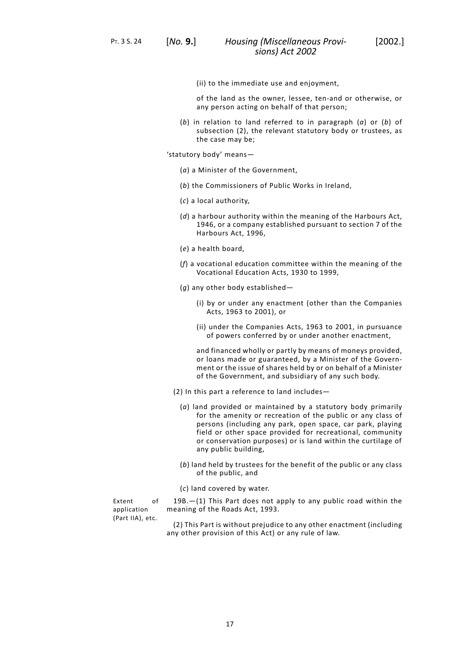- 
- (ii) to the immediate use and enjoyment,

of the land as the owner, lessee, ten-and or otherwise, or any person acting on behalf of that person;

(*b*) in relation to land referred to in paragraph (*a*) or (*b*) of subsection (2), the relevant statutory body or trustees, as the case may be;

'statutory body' means—

- (*a*) a Minister of the Government,
- (*b*) the Commissioners of Public Works in Ireland,
- (*c*) a local authority,
- (*d*) a harbour authority within the meaning of the Harbours Act, 1946, or a company established pursuant to section 7 of the Harbours Act, 1996,
- (*e*) a health board,
- (*f*) a vocational education committee within the meaning of the Vocational Education Acts, 1930 to 1999,
- (*g*) any other body established—
	- (i) by or under any enactment (other than the Companies Acts, 1963 to 2001), or
	- (ii) under the Companies Acts, 1963 to 2001, in pursuance of powers conferred by or under another enactment,

and financed wholly or partly by means of moneys provided, or loans made or guaranteed, by a Minister of the Government or the issue of shares held by or on behalf of a Minister of the Government, and subsidiary of any such body.

- (2) In this part a reference to land includes—
	- (*a*) land provided or maintained by a statutory body primarily for the amenity or recreation of the public or any class of persons (including any park, open space, car park, playing field or other space provided for recreational, community or conservation purposes) or is land within the curtilage of any public building,
	- (*b*) land held by trustees for the benefit of the public or any class of the public, and
	- (*c*) land covered by water.

Extent of application (Part IIA), etc.

19B.—(1) This Part does not apply to any public road within the meaning of the Roads Act, 1993.

(2) This Part is without prejudice to any other enactment (including any other provision of this Act) or any rule of law.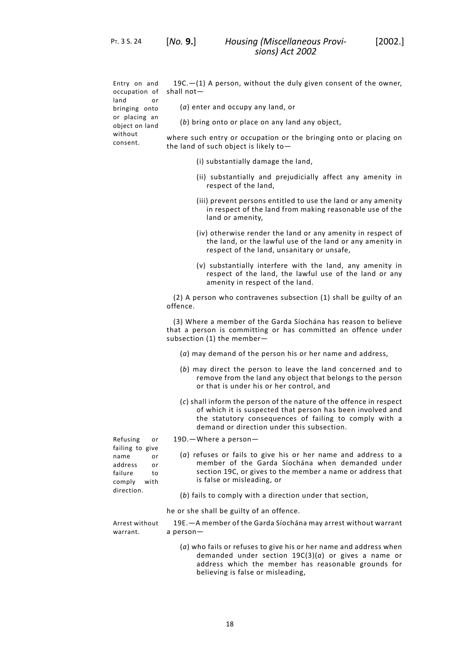PT. 3 S. 24 [*No.* **9.**]

Entry on and occupation of land or bringing onto or placing an object on land without consent.

19C.—(1) A person, without the duly given consent of the owner, shall not—

- (*a*) enter and occupy any land, or
- (*b*) bring onto or place on any land any object,

where such entry or occupation or the bringing onto or placing on the land of such object is likely to—

- (i) substantially damage the land,
- (ii) substantially and prejudicially affect any amenity in respect of the land,
- (iii) prevent persons entitled to use the land or any amenity in respect of the land from making reasonable use of the land or amenity,
- (iv) otherwise render the land or any amenity in respect of the land, or the lawful use of the land or any amenity in respect of the land, unsanitary or unsafe,
- (v) substantially interfere with the land, any amenity in respect of the land, the lawful use of the land or any amenity in respect of the land.

(2) A person who contravenes subsection (1) shall be guilty of an offence.

(3) Where a member of the Garda Síochána has reason to believe that a person is committing or has committed an offence under subsection (1) the member—

- (*a*) may demand of the person his or her name and address,
- (*b*) may direct the person to leave the land concerned and to remove from the land any object that belongs to the person or that is under his or her control, and
- (*c*) shall inform the person of the nature of the offence in respect of which it is suspected that person has been involved and the statutory consequences of failing to comply with a demand or direction under this subsection.

Refusing or 19D.—Where a person failing to give name or address or failure to comply with direction.

- (*a*) refuses or fails to give his or her name and address to a member of the Garda Síochána when demanded under section 19C, or gives to the member a name or address that is false or misleading, or
	- (*b*) fails to comply with a direction under that section,

he or she shall be guilty of an offence.

19E.—A member of the Garda Síochána may arrest without warrant a person— Arrest without warrant.

> (*a*) who fails or refuses to give his or her name and address when demanded under section 19C(3)(*a*) or gives a name or address which the member has reasonable grounds for believing is false or misleading,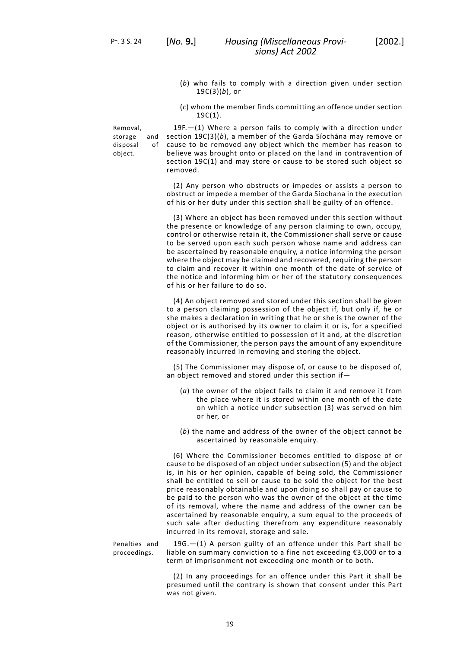- (*b*) who fails to comply with a direction given under section 19C(3)(*b*), or
- (*c*) whom the member finds committing an offence under section 19C(1).

Removal, storage and<br>disposal of disposal object.

19F.—(1) Where a person fails to comply with a direction under section 19C(3)(*b*), a member of the Garda Síochána may remove or cause to be removed any object which the member has reason to believe was brought onto or placed on the land in contravention of section 19C(1) and may store or cause to be stored such object so removed.

(2) Any person who obstructs or impedes or assists a person to obstruct or impede a member of the Garda Síochana in the execution of his or her duty under this section shall be guilty of an offence.

(3) Where an object has been removed under this section without the presence or knowledge of any person claiming to own, occupy, control or otherwise retain it, the Commissioner shall serve or cause to be served upon each such person whose name and address can be ascertained by reasonable enquiry, a notice informing the person where the object may be claimed and recovered, requiring the person to claim and recover it within one month of the date of service of the notice and informing him or her of the statutory consequences of his or her failure to do so.

(4) An object removed and stored under this section shall be given to a person claiming possession of the object if, but only if, he or she makes a declaration in writing that he or she is the owner of the object or is authorised by its owner to claim it or is, for a specified reason, otherwise entitled to possession of it and, at the discretion of the Commissioner, the person pays the amount of any expenditure reasonably incurred in removing and storing the object.

(5) The Commissioner may dispose of, or cause to be disposed of, an object removed and stored under this section if—

- (*a*) the owner of the object fails to claim it and remove it from the place where it is stored within one month of the date on which a notice under subsection (3) was served on him or her, or
- (*b*) the name and address of the owner of the object cannot be ascertained by reasonable enquiry.

(6) Where the Commissioner becomes entitled to dispose of or cause to be disposed of an object under subsection (5) and the object is, in his or her opinion, capable of being sold, the Commissioner shall be entitled to sell or cause to be sold the object for the best price reasonably obtainable and upon doing so shall pay or cause to be paid to the person who was the owner of the object at the time of its removal, where the name and address of the owner can be ascertained by reasonable enquiry, a sum equal to the proceeds of such sale after deducting therefrom any expenditure reasonably incurred in its removal, storage and sale.

19G.—(1) A person guilty of an offence under this Part shall be liable on summary conviction to a fine not exceeding €3,000 or to a term of imprisonment not exceeding one month or to both. Penalties and proceedings.

> (2) In any proceedings for an offence under this Part it shall be presumed until the contrary is shown that consent under this Part was not given.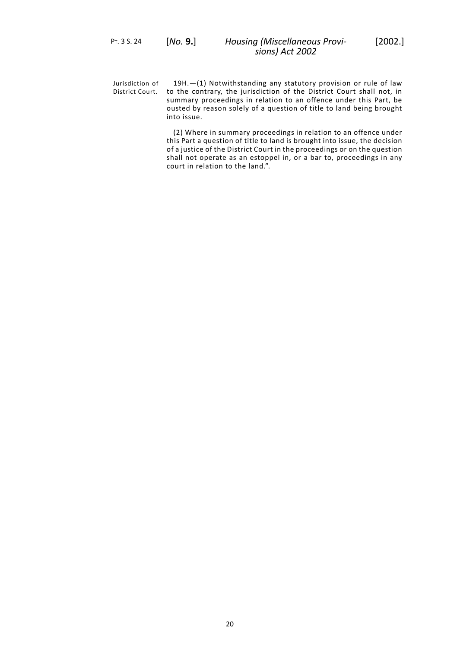19H.—(1) Notwithstanding any statutory provision or rule of law District Court. to the contrary, the jurisdiction of the District Court shall not, in Jurisdiction of summary proceedings in relation to an offence under this Part, be ousted by reason solely of a question of title to land being brought into issue.

> (2) Where in summary proceedings in relation to an offence under this Part a question of title to land is brought into issue, the decision of a justice of the District Court in the proceedings or on the question shall not operate as an estoppel in, or a bar to, proceedings in any court in relation to the land.".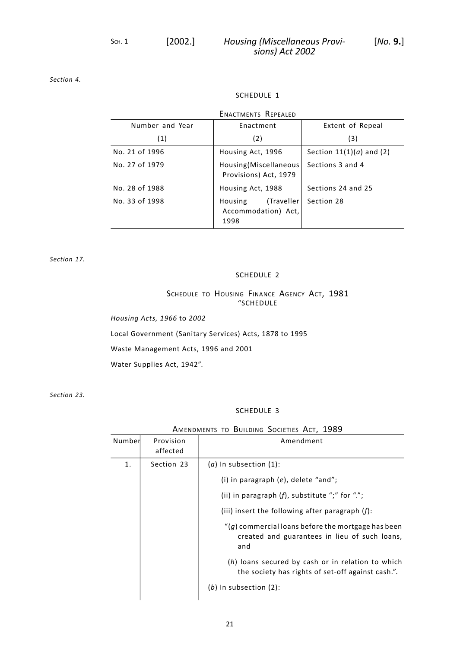*[Section](#page-8-1) 4.*

## SCHEDULE 1

<span id="page-24-0"></span>

| <b>ENACTMENTS REPEALED</b> |                                                      |                            |
|----------------------------|------------------------------------------------------|----------------------------|
| Number and Year            | Enactment                                            | Extent of Repeal           |
| (1)                        | (2)                                                  | (3)                        |
| No. 21 of 1996             | Housing Act, 1996                                    | Section $11(1)(a)$ and (2) |
| No. 27 of 1979             | Housing(Miscellaneous)<br>Provisions) Act, 1979      | Sections 3 and 4           |
| No. 28 of 1988             | Housing Act, 1988                                    | Sections 24 and 25         |
| No. 33 of 1998             | (Traveller<br>Housing<br>Accommodation) Act,<br>1998 | Section 28                 |

<span id="page-24-1"></span>*[Section](#page-14-0) 17.*

## SCHEDULE 2

# SCHEDULE TO HOUSING FINANCE AGENCY ACT, 1981 "SCHEDULE

*Housing Acts, 1966* to *2002*

Local Government (Sanitary Services) Acts, 1878 to 1995

Waste Management Acts, 1996 and 2001

<span id="page-24-2"></span>Water Supplies Act, 1942".

*[Section](#page-19-0) 23.*

## SCHEDULE 3

# AMENDMENTS TO BUILDING SOCIETIES ACT, 1989

| Number | Provision<br>affected | Amendment                                                                                                     |
|--------|-----------------------|---------------------------------------------------------------------------------------------------------------|
| 1.     | Section 23            | $(a)$ In subsection $(1)$ :                                                                                   |
|        |                       | (i) in paragraph $(e)$ , delete "and";                                                                        |
|        |                       | (ii) in paragraph $(f)$ , substitute ";" for ".";                                                             |
|        |                       | (iii) insert the following after paragraph $(f)$ :                                                            |
|        |                       | $''(q)$ commercial loans before the mortgage has been<br>created and guarantees in lieu of such loans,<br>and |
|        |                       | (h) loans secured by cash or in relation to which<br>the society has rights of set-off against cash.".        |
|        |                       | $(b)$ In subsection $(2)$ :                                                                                   |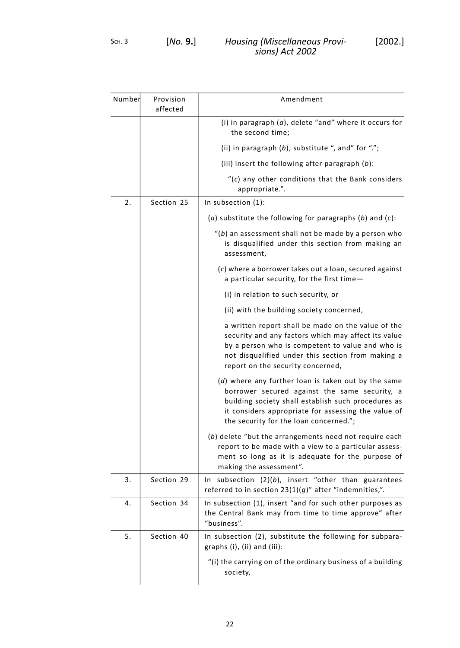| Number | Provision<br>affected | Amendment                                                                                                                                                                                                                                                    |
|--------|-----------------------|--------------------------------------------------------------------------------------------------------------------------------------------------------------------------------------------------------------------------------------------------------------|
|        |                       | (i) in paragraph (a), delete "and" where it occurs for<br>the second time;                                                                                                                                                                                   |
|        |                       | (ii) in paragraph (b), substitute ", and" for ".";                                                                                                                                                                                                           |
|        |                       | (iii) insert the following after paragraph $(b)$ :                                                                                                                                                                                                           |
|        |                       | $f(c)$ any other conditions that the Bank considers<br>appropriate.".                                                                                                                                                                                        |
| 2.     | Section 25            | In subsection (1):                                                                                                                                                                                                                                           |
|        |                       | (a) substitute the following for paragraphs $(b)$ and $(c)$ :                                                                                                                                                                                                |
|        |                       | $''(b)$ an assessment shall not be made by a person who<br>is disqualified under this section from making an<br>assessment,                                                                                                                                  |
|        |                       | (c) where a borrower takes out a loan, secured against<br>a particular security, for the first time-                                                                                                                                                         |
|        |                       | (i) in relation to such security, or                                                                                                                                                                                                                         |
|        |                       | (ii) with the building society concerned,                                                                                                                                                                                                                    |
|        |                       | a written report shall be made on the value of the<br>security and any factors which may affect its value<br>by a person who is competent to value and who is<br>not disqualified under this section from making a<br>report on the security concerned,      |
|        |                       | (d) where any further loan is taken out by the same<br>borrower secured against the same security, a<br>building society shall establish such procedures as<br>it considers appropriate for assessing the value of<br>the security for the loan concerned."; |
|        |                       | (b) delete "but the arrangements need not require each<br>report to be made with a view to a particular assess-<br>ment so long as it is adequate for the purpose of<br>making the assessment".                                                              |
| 3.     | Section 29            | In subsection $(2)(b)$ , insert "other than guarantees<br>referred to in section $23(1)(g)$ " after "indemnities,".                                                                                                                                          |
| 4.     | Section 34            | In subsection (1), insert "and for such other purposes as<br>the Central Bank may from time to time approve" after<br>"business".                                                                                                                            |
| 5.     | Section 40            | In subsection (2), substitute the following for subpara-<br>graphs (i), (ii) and (iii):                                                                                                                                                                      |
|        |                       | "(i) the carrying on of the ordinary business of a building<br>society,                                                                                                                                                                                      |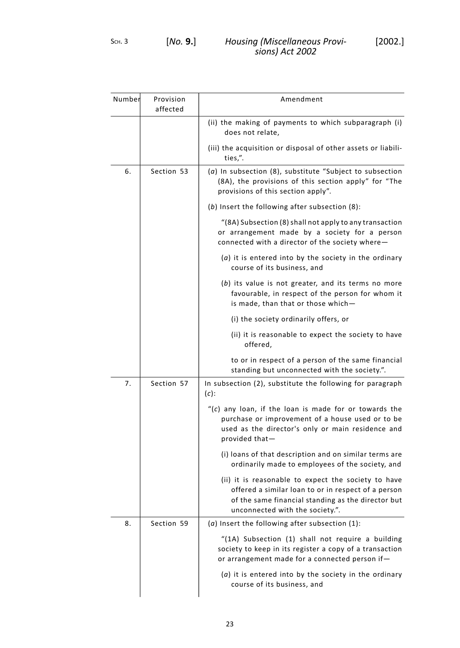| Number | Provision<br>affected | Amendment                                                                                                                                                                                           |
|--------|-----------------------|-----------------------------------------------------------------------------------------------------------------------------------------------------------------------------------------------------|
|        |                       | (ii) the making of payments to which subparagraph (i)<br>does not relate,                                                                                                                           |
|        |                       | (iii) the acquisition or disposal of other assets or liabili-<br>ties,".                                                                                                                            |
| 6.     | Section 53            | $(a)$ In subsection $(8)$ , substitute "Subject to subsection<br>(8A), the provisions of this section apply" for "The<br>provisions of this section apply".                                         |
|        |                       | (b) Insert the following after subsection (8):                                                                                                                                                      |
|        |                       | "(8A) Subsection (8) shall not apply to any transaction<br>or arrangement made by a society for a person<br>connected with a director of the society where-                                         |
|        |                       | $(a)$ it is entered into by the society in the ordinary<br>course of its business, and                                                                                                              |
|        |                       | (b) its value is not greater, and its terms no more<br>favourable, in respect of the person for whom it<br>is made, than that or those which-                                                       |
|        |                       | (i) the society ordinarily offers, or                                                                                                                                                               |
|        |                       | (ii) it is reasonable to expect the society to have<br>offered,                                                                                                                                     |
|        |                       | to or in respect of a person of the same financial<br>standing but unconnected with the society.".                                                                                                  |
| 7.     | Section 57            | In subsection (2), substitute the following for paragraph<br>$(c)$ :                                                                                                                                |
|        |                       | "(c) any loan, if the loan is made for or towards the<br>purchase or improvement of a house used or to be<br>used as the director's only or main residence and<br>provided that-                    |
|        |                       | (i) loans of that description and on similar terms are<br>ordinarily made to employees of the society, and                                                                                          |
|        |                       | (ii) it is reasonable to expect the society to have<br>offered a similar loan to or in respect of a person<br>of the same financial standing as the director but<br>unconnected with the society.". |
| 8.     | Section 59            | ( $a$ ) Insert the following after subsection $(1)$ :                                                                                                                                               |
|        |                       | "(1A) Subsection (1) shall not require a building<br>society to keep in its register a copy of a transaction<br>or arrangement made for a connected person if-                                      |
|        |                       | $(a)$ it is entered into by the society in the ordinary<br>course of its business, and                                                                                                              |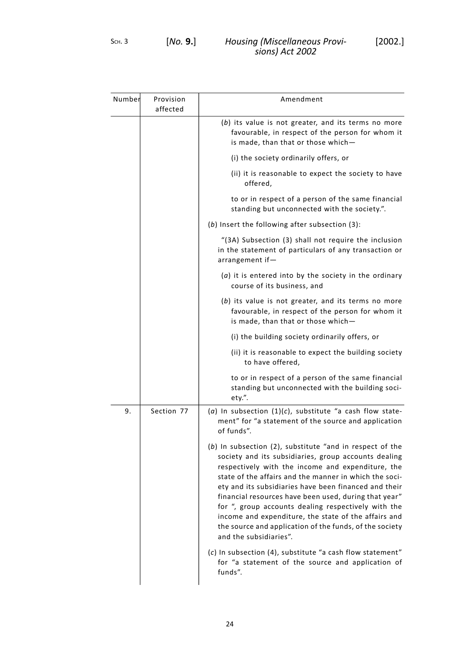| Number | Provision<br>affected | Amendment                                                                                                                                                                                                                                                                                                                                                                                                                                                                                                                                               |
|--------|-----------------------|---------------------------------------------------------------------------------------------------------------------------------------------------------------------------------------------------------------------------------------------------------------------------------------------------------------------------------------------------------------------------------------------------------------------------------------------------------------------------------------------------------------------------------------------------------|
|        |                       | (b) its value is not greater, and its terms no more<br>favourable, in respect of the person for whom it<br>is made, than that or those which-                                                                                                                                                                                                                                                                                                                                                                                                           |
|        |                       | (i) the society ordinarily offers, or                                                                                                                                                                                                                                                                                                                                                                                                                                                                                                                   |
|        |                       | (ii) it is reasonable to expect the society to have<br>offered,                                                                                                                                                                                                                                                                                                                                                                                                                                                                                         |
|        |                       | to or in respect of a person of the same financial<br>standing but unconnected with the society.".                                                                                                                                                                                                                                                                                                                                                                                                                                                      |
|        |                       | (b) Insert the following after subsection (3):                                                                                                                                                                                                                                                                                                                                                                                                                                                                                                          |
|        |                       | "(3A) Subsection (3) shall not require the inclusion<br>in the statement of particulars of any transaction or<br>arrangement if-                                                                                                                                                                                                                                                                                                                                                                                                                        |
|        |                       | $(a)$ it is entered into by the society in the ordinary<br>course of its business, and                                                                                                                                                                                                                                                                                                                                                                                                                                                                  |
|        |                       | (b) its value is not greater, and its terms no more<br>favourable, in respect of the person for whom it<br>is made, than that or those which-                                                                                                                                                                                                                                                                                                                                                                                                           |
|        |                       | (i) the building society ordinarily offers, or                                                                                                                                                                                                                                                                                                                                                                                                                                                                                                          |
|        |                       | (ii) it is reasonable to expect the building society<br>to have offered,                                                                                                                                                                                                                                                                                                                                                                                                                                                                                |
|        |                       | to or in respect of a person of the same financial<br>standing but unconnected with the building soci-<br>ety.".                                                                                                                                                                                                                                                                                                                                                                                                                                        |
| 9.     | Section 77            | (a) In subsection $(1)(c)$ , substitute "a cash flow state-<br>ment" for "a statement of the source and application<br>of funds".                                                                                                                                                                                                                                                                                                                                                                                                                       |
|        |                       | $(b)$ In subsection (2), substitute "and in respect of the<br>society and its subsidiaries, group accounts dealing<br>respectively with the income and expenditure, the<br>state of the affairs and the manner in which the soci-<br>ety and its subsidiaries have been financed and their<br>financial resources have been used, during that year"<br>for ", group accounts dealing respectively with the<br>income and expenditure, the state of the affairs and<br>the source and application of the funds, of the society<br>and the subsidiaries". |
|        |                       | (c) In subsection (4), substitute "a cash flow statement"<br>for "a statement of the source and application of<br>funds".                                                                                                                                                                                                                                                                                                                                                                                                                               |